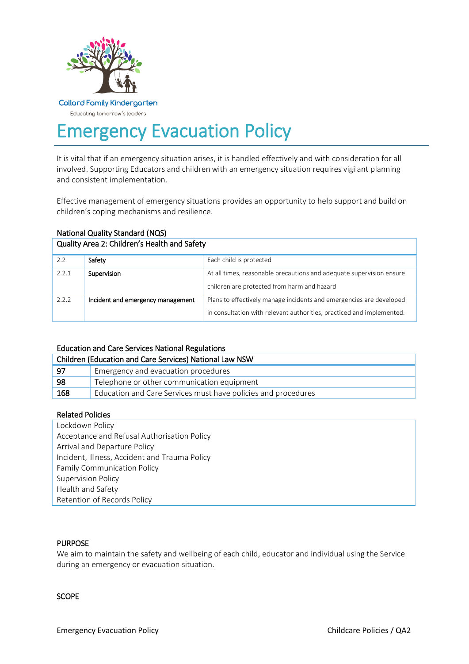

# Emergency Evacuation Policy

It is vital that if an emergency situation arises, it is handled effectively and with consideration for all involved. Supporting Educators and children with an emergency situation requires vigilant planning and consistent implementation.

Effective management of emergency situations provides an opportunity to help support and build on children's coping mechanisms and resilience.

# National Quality Standard (NQS)

# Quality Area 2: Children's Health and Safety

| 2.2   | Safety                            | Each child is protected                                                                                                                      |
|-------|-----------------------------------|----------------------------------------------------------------------------------------------------------------------------------------------|
| 2.2.1 | Supervision                       | At all times, reasonable precautions and adequate supervision ensure<br>children are protected from harm and hazard                          |
| 2.2.2 | Incident and emergency management | Plans to effectively manage incidents and emergencies are developed<br>in consultation with relevant authorities, practiced and implemented. |

## Education and Care Services National Regulations

| Children (Education and Care Services) National Law NSW |                                                               |  |  |
|---------------------------------------------------------|---------------------------------------------------------------|--|--|
| - 97                                                    | Emergency and evacuation procedures                           |  |  |
| -98                                                     | Telephone or other communication equipment                    |  |  |
| 168                                                     | Education and Care Services must have policies and procedures |  |  |

## Related Policies

Lockdown Policy Acceptance and Refusal Authorisation Policy Arrival and Departure Policy Incident, Illness, Accident and Trauma Policy Family Communication Policy Supervision Policy Health and Safety Retention of Records Policy

## PURPOSE

We aim to maintain the safety and wellbeing of each child, educator and individual using the Service during an emergency or evacuation situation.

# **SCOPE**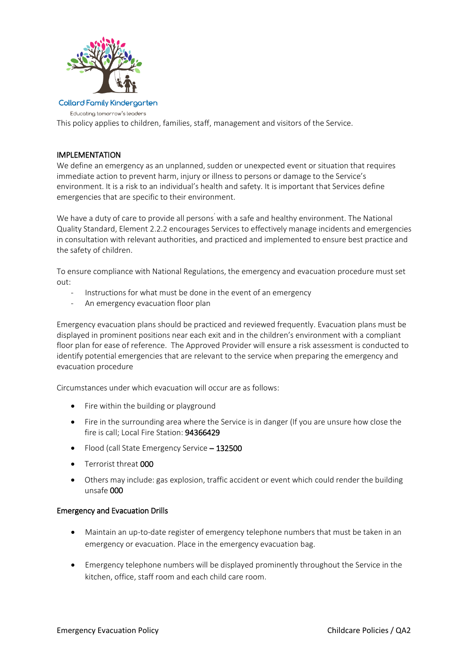

This policy applies to children, families, staff, management and visitors of the Service.

## IMPLEMENTATION

We define an emergency as an unplanned, sudden or unexpected event or situation that requires immediate action to prevent harm, injury or illness to persons or damage to the Service's environment. It is a risk to an individual's health and safety. It is important that Services define emergencies that are specific to their environment.

We have a duty of care to provide all persons'with a safe and healthy environment. The National Quality Standard, Element 2.2.2 encourages Services to effectively manage incidents and emergencies in consultation with relevant authorities, and practiced and implemented to ensure best practice and the safety of children.

To ensure compliance with National Regulations, the emergency and evacuation procedure must set out:

- Instructions for what must be done in the event of an emergency
- An emergency evacuation floor plan

Emergency evacuation plans should be practiced and reviewed frequently. Evacuation plans must be displayed in prominent positions near each exit and in the children's environment with a compliant floor plan for ease of reference. The Approved Provider will ensure a risk assessment is conducted to identify potential emergencies that are relevant to the service when preparing the emergency and evacuation procedure

Circumstances under which evacuation will occur are as follows:

- Fire within the building or playground
- Fire in the surrounding area where the Service is in danger (If you are unsure how close the fire is call; Local Fire Station: 94366429
- Flood (call State Emergency Service 132500
- Terrorist threat 000
- Others may include: gas explosion, traffic accident or event which could render the building unsafe 000

## Emergency and Evacuation Drills

- Maintain an up-to-date register of emergency telephone numbers that must be taken in an emergency or evacuation. Place in the emergency evacuation bag.
- Emergency telephone numbers will be displayed prominently throughout the Service in the kitchen, office, staff room and each child care room.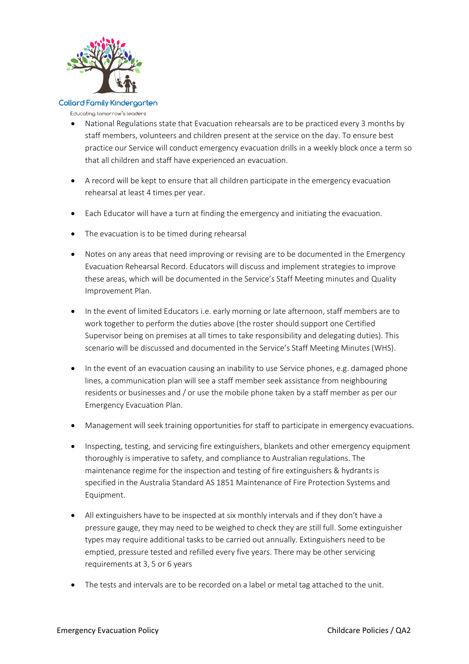

#### **Collard Family Kindergarten**

#### Educating tomorrow's leaders

- National Regulations state that Evacuation rehearsals are to be practiced every 3 months by staff members, volunteers and children present at the service on the day. To ensure best practice our Service will conduct emergency evacuation drills in a weekly block once a term so that all children and staff have experienced an evacuation.
- A record will be kept to ensure that all children participate in the emergency evacuation rehearsal at least 4 times per year.
- Each Educator will have a turn at finding the emergency and initiating the evacuation.
- The evacuation is to be timed during rehearsal
- Notes on any areas that need improving or revising are to be documented in the Emergency Evacuation Rehearsal Record. Educators will discuss and implement strategies to improve these areas, which will be documented in the Service's Staff Meeting minutes and Quality Improvement Plan.
- In the event of limited Educators i.e. early morning or late afternoon, staff members are to work together to perform the duties above (the roster should support one Certified Supervisor being on premises at all times to take responsibility and delegating duties). This scenario will be discussed and documented in the Service's Staff Meeting Minutes (WHS).
- In the event of an evacuation causing an inability to use Service phones, e.g. damaged phone lines, a communication plan will see a staff member seek assistance from neighbouring residents or businesses and / or use the mobile phone taken by a staff member as per our Emergency Evacuation Plan.
- Management will seek training opportunities for staff to participate in emergency evacuations.
- Inspecting, testing, and servicing fire extinguishers, blankets and other emergency equipment thoroughly is imperative to safety, and compliance to Australian regulations. The maintenance regime for the inspection and testing of fire extinguishers & hydrants is specified in the Australia Standard AS 1851 Maintenance of Fire Protection Systems and Equipment.
- All extinguishers have to be inspected at six monthly intervals and if they don't have a pressure gauge, they may need to be weighed to check they are still full. Some extinguisher types may require additional tasks to be carried out annually. Extinguishers need to be emptied, pressure tested and refilled every five years. There may be other servicing requirements at 3, 5 or 6 years
- The tests and intervals are to be recorded on a label or metal tag attached to the unit.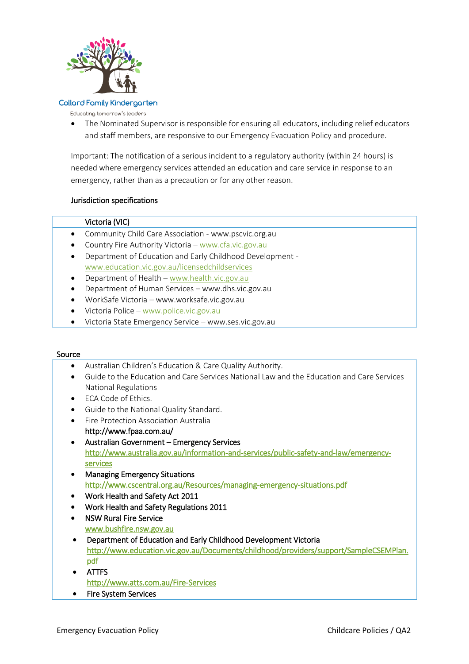

#### **Collard Family Kindergarten**

Educating tomorrow's leaders

 The Nominated Supervisor is responsible for ensuring all educators, including relief educators and staff members, are responsive to our Emergency Evacuation Policy and procedure.

Important: The notification of a serious incident to a regulatory authority (within 24 hours) is needed where emergency services attended an education and care service in response to an emergency, rather than as a precaution or for any other reason.

## Jurisdiction specifications

# Victoria (VIC)

- Community Child Care Association www.pscvic.org.au
- Country Fire Authority Victoria [www.cfa.vic.gov.au](http://www.cfa.vic.gov.au/)
- Department of Education and Early Childhood Development [www.education.vic.gov.au/licensedchildservices](http://www.education.vic.gov.au/licensedchildservices)
- Department of Health [www.health.vic.gov.au](http://www.health.vic.gov.au/)
- Department of Human Services www.dhs.vic.gov.au
- WorkSafe Victoria www.worksafe.vic.gov.au
- Victoria Police [www.police.vic.gov.au](http://www.police.vic.gov.au/)
- Victoria State Emergency Service www.ses.vic.gov.au

## Source

- Australian Children's Education & Care Quality Authority.
- Guide to the Education and Care Services National Law and the Education and Care Services National Regulations
- ECA Code of Ethics.
- Guide to the National Quality Standard.
- Fire Protection Association Australia http://www.fpaa.com.au/
- Australian Government Emergency Services [http://www.australia.gov.au/information-and-services/public-safety-and-law/emergency](http://www.australia.gov.au/information-and-services/public-safety-and-law/emergency-services)[services](http://www.australia.gov.au/information-and-services/public-safety-and-law/emergency-services)
- Managing Emergency Situations <http://www.cscentral.org.au/Resources/managing-emergency-situations.pdf>
- Work Health and Safety Act 2011
- Work Health and Safety Regulations 2011
- NSW Rural Fire Service [www.bushfire.nsw.gov.au](http://www.bushfire.nsw.gov.au/)
- Department of Education and Early Childhood Development Victoria [http://www.education.vic.gov.au/Documents/childhood/providers/support/SampleCSEMPlan.](http://www.education.vic.gov.au/Documents/childhood/providers/support/SampleCSEMPlan.pdf) [pdf](http://www.education.vic.gov.au/Documents/childhood/providers/support/SampleCSEMPlan.pdf)
- ATTFS <http://www.atts.com.au/Fire-Services>
- Fire System Services